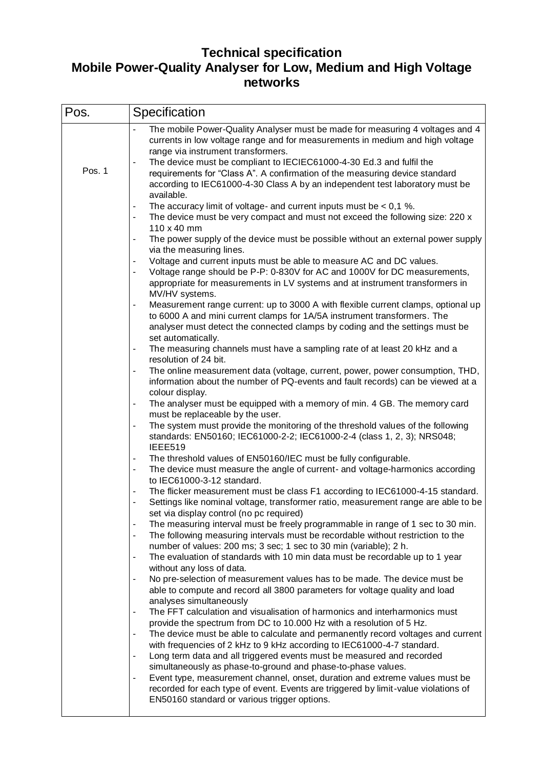## **Technical specification Mobile Power-Quality Analyser for Low, Medium and High Voltage networks**

| Pos.   | Specification                                                                                                                                                                                                                                                                                                                                                                                                                                                                                                                                                                                                                                                                                                                                                                                                                                                                                                                                                                                                                                                                                                                                                                                                                                                                                                                                                                                                                                                                                                                                                                                                                                                                                                                                                                                                                                                                                                                                                                                                                                                                                                                                                                                                                                                                                                                                                                                                                                                                                                                                                                                                                                         |
|--------|-------------------------------------------------------------------------------------------------------------------------------------------------------------------------------------------------------------------------------------------------------------------------------------------------------------------------------------------------------------------------------------------------------------------------------------------------------------------------------------------------------------------------------------------------------------------------------------------------------------------------------------------------------------------------------------------------------------------------------------------------------------------------------------------------------------------------------------------------------------------------------------------------------------------------------------------------------------------------------------------------------------------------------------------------------------------------------------------------------------------------------------------------------------------------------------------------------------------------------------------------------------------------------------------------------------------------------------------------------------------------------------------------------------------------------------------------------------------------------------------------------------------------------------------------------------------------------------------------------------------------------------------------------------------------------------------------------------------------------------------------------------------------------------------------------------------------------------------------------------------------------------------------------------------------------------------------------------------------------------------------------------------------------------------------------------------------------------------------------------------------------------------------------------------------------------------------------------------------------------------------------------------------------------------------------------------------------------------------------------------------------------------------------------------------------------------------------------------------------------------------------------------------------------------------------------------------------------------------------------------------------------------------------|
| Pos. 1 | The mobile Power-Quality Analyser must be made for measuring 4 voltages and 4<br>currents in low voltage range and for measurements in medium and high voltage<br>range via instrument transformers.<br>The device must be compliant to IECIEC61000-4-30 Ed.3 and fulfil the<br>requirements for "Class A". A confirmation of the measuring device standard<br>according to IEC61000-4-30 Class A by an independent test laboratory must be<br>available.<br>The accuracy limit of voltage- and current inputs must be $< 0.1$ %.<br>The device must be very compact and must not exceed the following size: 220 x<br>110 x 40 mm<br>The power supply of the device must be possible without an external power supply<br>via the measuring lines.<br>Voltage and current inputs must be able to measure AC and DC values.<br>Voltage range should be P-P: 0-830V for AC and 1000V for DC measurements,<br>appropriate for measurements in LV systems and at instrument transformers in<br>MV/HV systems.<br>Measurement range current: up to 3000 A with flexible current clamps, optional up<br>to 6000 A and mini current clamps for 1A/5A instrument transformers. The<br>analyser must detect the connected clamps by coding and the settings must be<br>set automatically.<br>The measuring channels must have a sampling rate of at least 20 kHz and a<br>resolution of 24 bit.<br>The online measurement data (voltage, current, power, power consumption, THD,<br>information about the number of PQ-events and fault records) can be viewed at a<br>colour display.<br>The analyser must be equipped with a memory of min. 4 GB. The memory card<br>must be replaceable by the user.<br>The system must provide the monitoring of the threshold values of the following<br>standards: EN50160; IEC61000-2-2; IEC61000-2-4 (class 1, 2, 3); NRS048;<br>IEEE519<br>The threshold values of EN50160/IEC must be fully configurable.<br>The device must measure the angle of current- and voltage-harmonics according<br>to IEC61000-3-12 standard.<br>The flicker measurement must be class F1 according to IEC61000-4-15 standard.<br>Settings like nominal voltage, transformer ratio, measurement range are able to be<br>set via display control (no pc required)<br>The measuring interval must be freely programmable in range of 1 sec to 30 min.<br>The following measuring intervals must be recordable without restriction to the<br>$\blacksquare$<br>number of values: 200 ms; 3 sec; 1 sec to 30 min (variable); 2 h.<br>The evaluation of standards with 10 min data must be recordable up to 1 year<br>without any loss of data. |
|        | No pre-selection of measurement values has to be made. The device must be<br>able to compute and record all 3800 parameters for voltage quality and load<br>analyses simultaneously<br>The FFT calculation and visualisation of harmonics and interharmonics must<br>provide the spectrum from DC to 10.000 Hz with a resolution of 5 Hz.<br>The device must be able to calculate and permanently record voltages and current<br>with frequencies of 2 kHz to 9 kHz according to IEC61000-4-7 standard.<br>Long term data and all triggered events must be measured and recorded<br>simultaneously as phase-to-ground and phase-to-phase values.<br>Event type, measurement channel, onset, duration and extreme values must be<br>recorded for each type of event. Events are triggered by limit-value violations of                                                                                                                                                                                                                                                                                                                                                                                                                                                                                                                                                                                                                                                                                                                                                                                                                                                                                                                                                                                                                                                                                                                                                                                                                                                                                                                                                                                                                                                                                                                                                                                                                                                                                                                                                                                                                                 |
|        | EN50160 standard or various trigger options.                                                                                                                                                                                                                                                                                                                                                                                                                                                                                                                                                                                                                                                                                                                                                                                                                                                                                                                                                                                                                                                                                                                                                                                                                                                                                                                                                                                                                                                                                                                                                                                                                                                                                                                                                                                                                                                                                                                                                                                                                                                                                                                                                                                                                                                                                                                                                                                                                                                                                                                                                                                                          |